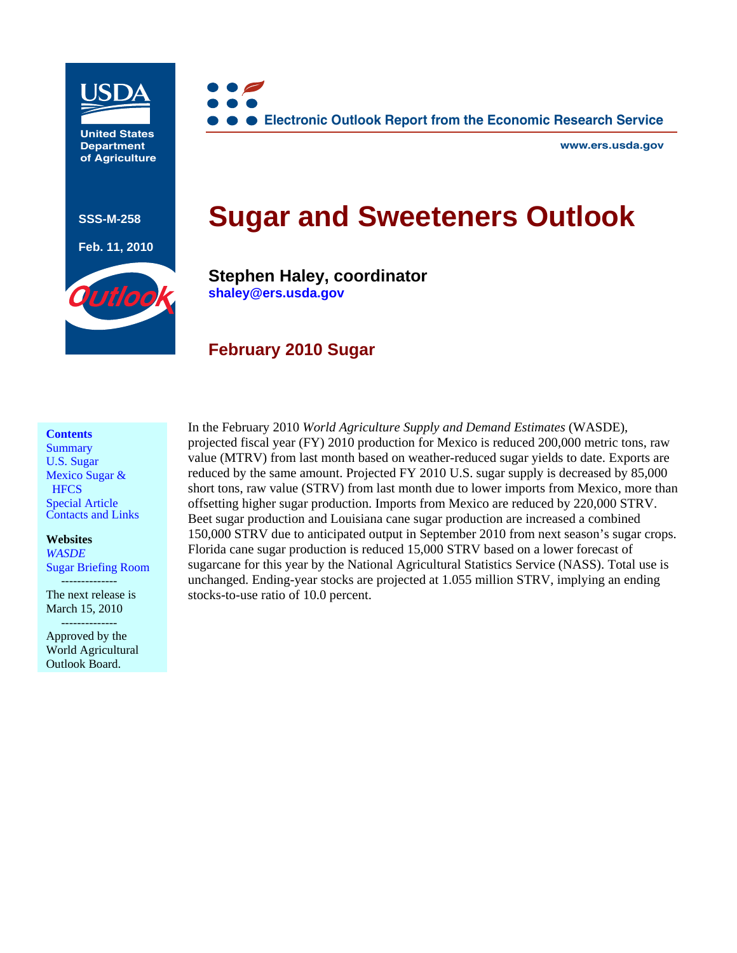

**United States Department of Agriculture**

**SSS-M-258** 

**Feb. 11, 2010** 



**www.ers.usda.gov**

# **Sugar and Sweeteners Outlook**



**Stephen Haley, coordinator [shaley@ers.usda.gov](mailto:shaley@ers.usda.gov)**

# **February 2010 Sugar**

#### **Contents**

**Summary** [U.S. Sugar](#page-1-0)  [Mexico Sugar &](#page-5-0)  **HFCS** [Special Article](#page-7-0) [Contacts and Links](#page-21-0)

**[Websites](http://usda.mannlib.cornell.edu/MannUsda/viewDocumentInfo.do?documentID=1194)**  *WASDE* 

[Sugar Briefing Room](http://www.ers.usda.gov/briefing/sugar/) 

 -------------- The next release is March 15, 2010 --------------

Approved by the World Agricultural Outlook Board.

In the February 2010 *World Agriculture Supply and Demand Estimates* (WASDE), projected fiscal year (FY) 2010 production for Mexico is reduced 200,000 metric tons, raw value (MTRV) from last month based on weather-reduced sugar yields to date. Exports are reduced by the same amount. Projected FY 2010 U.S. sugar supply is decreased by 85,000 short tons, raw value (STRV) from last month due to lower imports from Mexico, more than offsetting higher sugar production. Imports from Mexico are reduced by 220,000 STRV. Beet sugar production and Louisiana cane sugar production are increased a combined 150,000 STRV due to anticipated output in September 2010 from next season's sugar crops. Florida cane sugar production is reduced 15,000 STRV based on a lower forecast of sugarcane for this year by the National Agricultural Statistics Service (NASS). Total use is unchanged. Ending-year stocks are projected at 1.055 million STRV, implying an ending stocks-to-use ratio of 10.0 percent.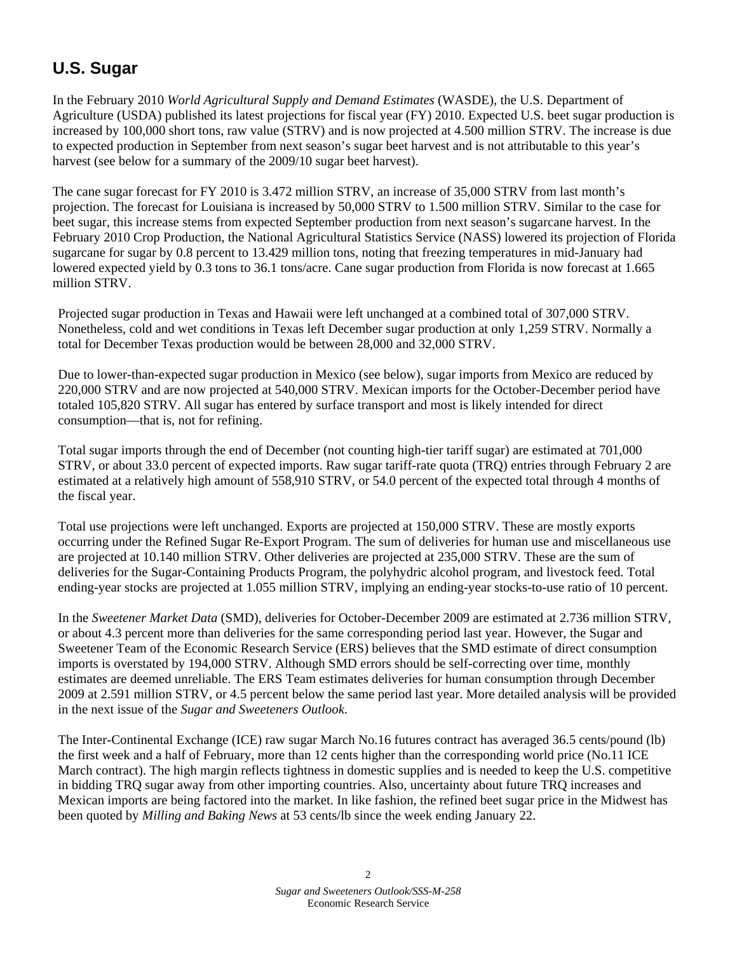# <span id="page-1-0"></span>**U.S. Sugar**

In the February 2010 *World Agricultural Supply and Demand Estimates* (WASDE), the U.S. Department of Agriculture (USDA) published its latest projections for fiscal year (FY) 2010. Expected U.S. beet sugar production is increased by 100,000 short tons, raw value (STRV) and is now projected at 4.500 million STRV. The increase is due to expected production in September from next season's sugar beet harvest and is not attributable to this year's harvest (see below for a summary of the 2009/10 sugar beet harvest).

The cane sugar forecast for FY 2010 is 3.472 million STRV, an increase of 35,000 STRV from last month's projection. The forecast for Louisiana is increased by 50,000 STRV to 1.500 million STRV. Similar to the case for beet sugar, this increase stems from expected September production from next season's sugarcane harvest. In the February 2010 Crop Production, the National Agricultural Statistics Service (NASS) lowered its projection of Florida sugarcane for sugar by 0.8 percent to 13.429 million tons, noting that freezing temperatures in mid-January had lowered expected yield by 0.3 tons to 36.1 tons/acre. Cane sugar production from Florida is now forecast at 1.665 million STRV.

Projected sugar production in Texas and Hawaii were left unchanged at a combined total of 307,000 STRV. Nonetheless, cold and wet conditions in Texas left December sugar production at only 1,259 STRV. Normally a total for December Texas production would be between 28,000 and 32,000 STRV.

Due to lower-than-expected sugar production in Mexico (see below), sugar imports from Mexico are reduced by 220,000 STRV and are now projected at 540,000 STRV. Mexican imports for the October-December period have totaled 105,820 STRV. All sugar has entered by surface transport and most is likely intended for direct consumption—that is, not for refining.

Total sugar imports through the end of December (not counting high-tier tariff sugar) are estimated at 701,000 STRV, or about 33.0 percent of expected imports. Raw sugar tariff-rate quota (TRQ) entries through February 2 are estimated at a relatively high amount of 558,910 STRV, or 54.0 percent of the expected total through 4 months of the fiscal year.

Total use projections were left unchanged. Exports are projected at 150,000 STRV. These are mostly exports occurring under the Refined Sugar Re-Export Program. The sum of deliveries for human use and miscellaneous use are projected at 10.140 million STRV. Other deliveries are projected at 235,000 STRV. These are the sum of deliveries for the Sugar-Containing Products Program, the polyhydric alcohol program, and livestock feed. Total ending-year stocks are projected at 1.055 million STRV, implying an ending-year stocks-to-use ratio of 10 percent.

In the *Sweetener Market Data* (SMD), deliveries for October-December 2009 are estimated at 2.736 million STRV, or about 4.3 percent more than deliveries for the same corresponding period last year. However, the Sugar and Sweetener Team of the Economic Research Service (ERS) believes that the SMD estimate of direct consumption imports is overstated by 194,000 STRV. Although SMD errors should be self-correcting over time, monthly estimates are deemed unreliable. The ERS Team estimates deliveries for human consumption through December 2009 at 2.591 million STRV, or 4.5 percent below the same period last year. More detailed analysis will be provided in the next issue of the *Sugar and Sweeteners Outlook*.

The Inter-Continental Exchange (ICE) raw sugar March No.16 futures contract has averaged 36.5 cents/pound (lb) the first week and a half of February, more than 12 cents higher than the corresponding world price (No.11 ICE March contract). The high margin reflects tightness in domestic supplies and is needed to keep the U.S. competitive in bidding TRQ sugar away from other importing countries. Also, uncertainty about future TRQ increases and Mexican imports are being factored into the market. In like fashion, the refined beet sugar price in the Midwest has been quoted by *Milling and Baking News* at 53 cents/lb since the week ending January 22.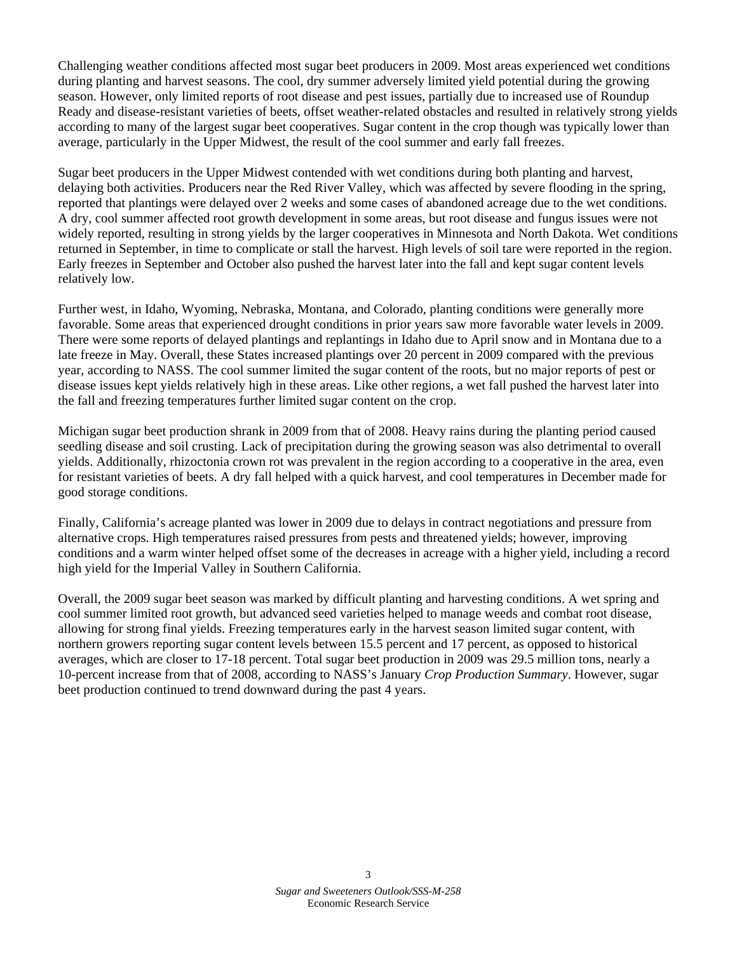Challenging weather conditions affected most sugar beet producers in 2009. Most areas experienced wet conditions during planting and harvest seasons. The cool, dry summer adversely limited yield potential during the growing season. However, only limited reports of root disease and pest issues, partially due to increased use of Roundup Ready and disease-resistant varieties of beets, offset weather-related obstacles and resulted in relatively strong yields according to many of the largest sugar beet cooperatives. Sugar content in the crop though was typically lower than average, particularly in the Upper Midwest, the result of the cool summer and early fall freezes.

Sugar beet producers in the Upper Midwest contended with wet conditions during both planting and harvest, delaying both activities. Producers near the Red River Valley, which was affected by severe flooding in the spring, reported that plantings were delayed over 2 weeks and some cases of abandoned acreage due to the wet conditions. A dry, cool summer affected root growth development in some areas, but root disease and fungus issues were not widely reported, resulting in strong yields by the larger cooperatives in Minnesota and North Dakota. Wet conditions returned in September, in time to complicate or stall the harvest. High levels of soil tare were reported in the region. Early freezes in September and October also pushed the harvest later into the fall and kept sugar content levels relatively low.

Further west, in Idaho, Wyoming, Nebraska, Montana, and Colorado, planting conditions were generally more favorable. Some areas that experienced drought conditions in prior years saw more favorable water levels in 2009. There were some reports of delayed plantings and replantings in Idaho due to April snow and in Montana due to a late freeze in May. Overall, these States increased plantings over 20 percent in 2009 compared with the previous year, according to NASS. The cool summer limited the sugar content of the roots, but no major reports of pest or disease issues kept yields relatively high in these areas. Like other regions, a wet fall pushed the harvest later into the fall and freezing temperatures further limited sugar content on the crop.

Michigan sugar beet production shrank in 2009 from that of 2008. Heavy rains during the planting period caused seedling disease and soil crusting. Lack of precipitation during the growing season was also detrimental to overall yields. Additionally, rhizoctonia crown rot was prevalent in the region according to a cooperative in the area, even for resistant varieties of beets. A dry fall helped with a quick harvest, and cool temperatures in December made for good storage conditions.

Finally, California's acreage planted was lower in 2009 due to delays in contract negotiations and pressure from alternative crops. High temperatures raised pressures from pests and threatened yields; however, improving conditions and a warm winter helped offset some of the decreases in acreage with a higher yield, including a record high yield for the Imperial Valley in Southern California.

Overall, the 2009 sugar beet season was marked by difficult planting and harvesting conditions. A wet spring and cool summer limited root growth, but advanced seed varieties helped to manage weeds and combat root disease, allowing for strong final yields. Freezing temperatures early in the harvest season limited sugar content, with northern growers reporting sugar content levels between 15.5 percent and 17 percent, as opposed to historical averages, which are closer to 17-18 percent. Total sugar beet production in 2009 was 29.5 million tons, nearly a 10-percent increase from that of 2008, according to NASS's January *Crop Production Summary*. However, sugar beet production continued to trend downward during the past 4 years.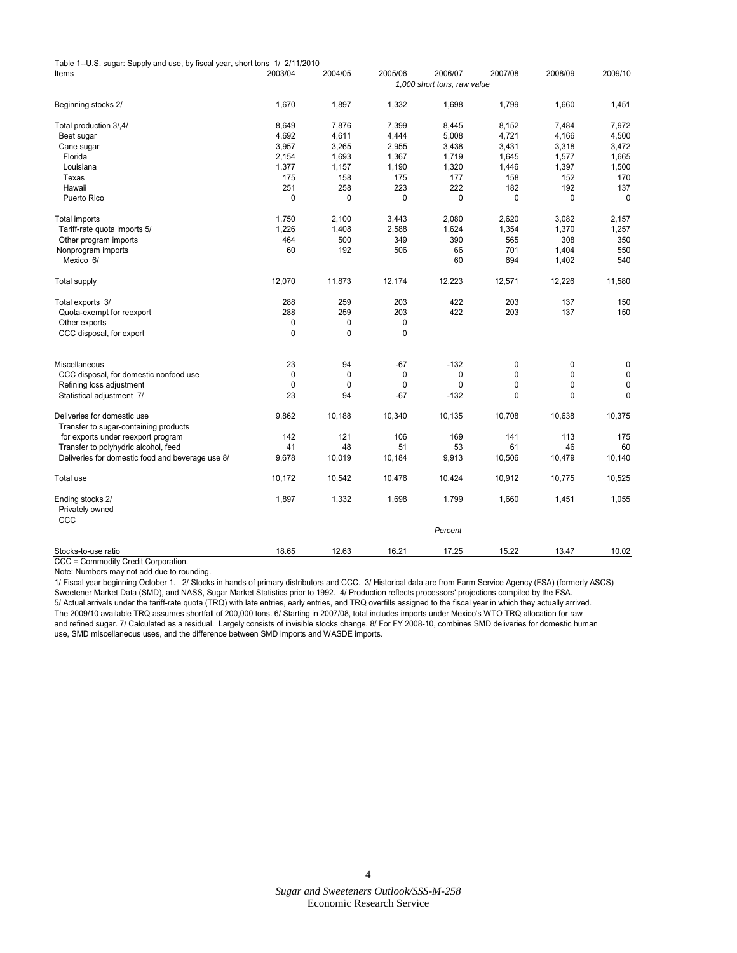| Items                                            | 2003/04 | 2004/05     | 2005/06     | 2006/07                     | 2007/08     | 2008/09     | 2009/10     |
|--------------------------------------------------|---------|-------------|-------------|-----------------------------|-------------|-------------|-------------|
|                                                  |         |             |             | 1,000 short tons, raw value |             |             |             |
| Beginning stocks 2/                              | 1,670   | 1,897       | 1,332       | 1,698                       | 1,799       | 1,660       | 1,451       |
| Total production 3/,4/                           | 8,649   | 7,876       | 7,399       | 8,445                       | 8,152       | 7,484       | 7,972       |
| Beet sugar                                       | 4,692   | 4,611       | 4,444       | 5,008                       | 4,721       | 4,166       | 4,500       |
| Cane sugar                                       | 3,957   | 3,265       | 2,955       | 3,438                       | 3,431       | 3,318       | 3,472       |
| Florida                                          | 2,154   | 1,693       | 1,367       | 1,719                       | 1,645       | 1,577       | 1,665       |
| Louisiana                                        | 1,377   | 1,157       | 1,190       | 1,320                       | 1,446       | 1,397       | 1,500       |
| Texas                                            | 175     | 158         | 175         | 177                         | 158         | 152         | 170         |
| Hawaii                                           | 251     | 258         | 223         | 222                         | 182         | 192         | 137         |
| Puerto Rico                                      | 0       | 0           | $\mathbf 0$ | 0                           | 0           | 0           | $\mathbf 0$ |
| Total imports                                    | 1,750   | 2,100       | 3,443       | 2,080                       | 2,620       | 3,082       | 2,157       |
| Tariff-rate quota imports 5/                     | 1,226   | 1,408       | 2,588       | 1,624                       | 1,354       | 1,370       | 1,257       |
| Other program imports                            | 464     | 500         | 349         | 390                         | 565         | 308         | 350         |
| Nonprogram imports                               | 60      | 192         | 506         | 66                          | 701         | 1,404       | 550         |
| Mexico 6/                                        |         |             |             | 60                          | 694         | 1,402       | 540         |
| <b>Total supply</b>                              | 12,070  | 11,873      | 12,174      | 12,223                      | 12,571      | 12,226      | 11,580      |
| Total exports 3/                                 | 288     | 259         | 203         | 422                         | 203         | 137         | 150         |
| Quota-exempt for reexport                        | 288     | 259         | 203         | 422                         | 203         | 137         | 150         |
| Other exports                                    | 0       | 0           | 0           |                             |             |             |             |
| CCC disposal, for export                         | 0       | $\mathbf 0$ | $\mathbf 0$ |                             |             |             |             |
| Miscellaneous                                    | 23      | 94          | $-67$       | $-132$                      | 0           | 0           | 0           |
| CCC disposal, for domestic nonfood use           | 0       | $\mathbf 0$ | $\pmb{0}$   | 0                           | $\mathbf 0$ | $\mathbf 0$ | $\pmb{0}$   |
| Refining loss adjustment                         | 0       | $\mathbf 0$ | $\mathbf 0$ | 0                           | $\mathbf 0$ | $\Omega$    | 0           |
| Statistical adjustment 7/                        | 23      | 94          | $-67$       | $-132$                      | $\mathbf 0$ | 0           | $\mathbf 0$ |
|                                                  |         |             |             |                             |             |             |             |
| Deliveries for domestic use                      | 9,862   | 10,188      | 10,340      | 10,135                      | 10,708      | 10,638      | 10,375      |
| Transfer to sugar-containing products            |         |             |             |                             |             |             |             |
| for exports under reexport program               | 142     | 121         | 106         | 169                         | 141         | 113         | 175         |
| Transfer to polyhydric alcohol, feed             | 41      | 48          | 51          | 53                          | 61          | 46          | 60          |
| Deliveries for domestic food and beverage use 8/ | 9,678   | 10,019      | 10,184      | 9,913                       | 10,506      | 10,479      | 10,140      |
| Total use                                        | 10,172  | 10,542      | 10,476      | 10,424                      | 10,912      | 10,775      | 10,525      |
| Ending stocks 2/                                 | 1,897   | 1,332       | 1,698       | 1,799                       | 1,660       | 1,451       | 1,055       |
| Privately owned                                  |         |             |             |                             |             |             |             |
| CCC                                              |         |             |             | Percent                     |             |             |             |
|                                                  |         |             |             |                             |             |             |             |
| Stocks-to-use ratio                              | 18.65   | 12.63       | 16.21       | 17.25                       | 15.22       | 13.47       | 10.02       |

CCC = Commodity Credit Corporation.

Note: Numbers may not add due to rounding.

1/ Fiscal year beginning October 1. 2/ Stocks in hands of primary distributors and CCC. 3/ Historical data are from Farm Service Agency (FSA) (formerly ASCS) Sweetener Market Data (SMD), and NASS, Sugar Market Statistics prior to 1992. 4/ Production reflects processors' projections compiled by the FSA. 5/ Actual arrivals under the tariff-rate quota (TRQ) with late entries, early entries, and TRQ overfills assigned to the fiscal year in which they actually arrived. The 2009/10 available TRQ assumes shortfall of 200,000 tons. 6/ Starting in 2007/08, total includes imports under Mexico's WTO TRQ allocation for raw and refined sugar. 7/ Calculated as a residual. Largely consists of invisible stocks change. 8/ For FY 2008-10, combines SMD deliveries for domestic human use, SMD miscellaneous uses, and the difference between SMD imports and WASDE imports.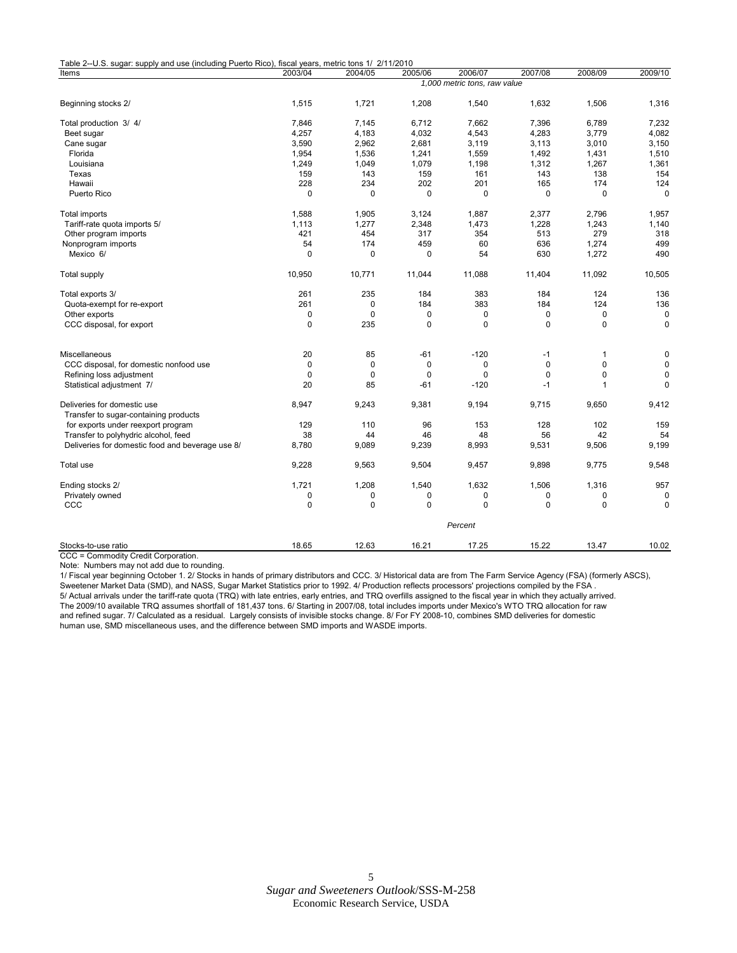| Table 2--U.S. sugar: supply and use (including Puerto Rico), fiscal years, metric tons 1/ 2/11/2010 |             |              |             |                              |             |              |              |
|-----------------------------------------------------------------------------------------------------|-------------|--------------|-------------|------------------------------|-------------|--------------|--------------|
| Items                                                                                               | 2003/04     | 2004/05      | 2005/06     | 2006/07                      | 2007/08     | 2008/09      | 2009/10      |
|                                                                                                     |             |              |             | 1,000 metric tons, raw value |             |              |              |
| Beginning stocks 2/                                                                                 | 1,515       | 1,721        | 1,208       | 1,540                        | 1,632       | 1,506        | 1,316        |
| Total production 3/4/                                                                               | 7,846       | 7,145        | 6,712       | 7,662                        | 7,396       | 6,789        | 7,232        |
| Beet sugar                                                                                          | 4,257       | 4,183        | 4,032       | 4,543                        | 4,283       | 3,779        | 4,082        |
| Cane sugar                                                                                          | 3,590       | 2,962        | 2,681       | 3,119                        | 3,113       | 3,010        | 3,150        |
| Florida                                                                                             | 1,954       | 1,536        | 1,241       | 1,559                        | 1,492       | 1,431        | 1,510        |
| Louisiana                                                                                           | 1,249       | 1,049        | 1,079       | 1,198                        | 1,312       | 1,267        | 1,361        |
| Texas                                                                                               | 159         | 143          | 159         | 161                          | 143         | 138          | 154          |
| Hawaii                                                                                              | 228         | 234          | 202         | 201                          | 165         | 174          | 124          |
| Puerto Rico                                                                                         | $\mathbf 0$ | 0            | $\mathbf 0$ | $\mathbf 0$                  | 0           | $\pmb{0}$    | $\mathbf 0$  |
| Total imports                                                                                       | 1,588       | 1,905        | 3,124       | 1,887                        | 2,377       | 2,796        | 1,957        |
| Tariff-rate quota imports 5/                                                                        | 1,113       | 1,277        | 2,348       | 1,473                        | 1,228       | 1,243        | 1,140        |
| Other program imports                                                                               | 421         | 454          | 317         | 354                          | 513         | 279          | 318          |
| Nonprogram imports                                                                                  | 54          | 174          | 459         | 60                           | 636         | 1,274        | 499          |
| Mexico 6/                                                                                           | $\Omega$    | $\mathbf 0$  | $\Omega$    | 54                           | 630         | 1,272        | 490          |
| <b>Total supply</b>                                                                                 | 10,950      | 10,771       | 11,044      | 11,088                       | 11,404      | 11,092       | 10,505       |
| Total exports 3/                                                                                    | 261         | 235          | 184         | 383                          | 184         | 124          | 136          |
| Quota-exempt for re-export                                                                          | 261         | 0            | 184         | 383                          | 184         | 124          | 136          |
| Other exports                                                                                       | $\mathbf 0$ | $\mathbf{0}$ | $\mathbf 0$ | $\mathbf 0$                  | 0           | $\pmb{0}$    | 0            |
| CCC disposal, for export                                                                            | $\mathbf 0$ | 235          | 0           | $\Omega$                     | 0           | $\mathbf 0$  | $\mathbf 0$  |
| Miscellaneous                                                                                       | 20          | 85           | $-61$       | $-120$                       | $-1$        | $\mathbf{1}$ | $\mathbf 0$  |
| CCC disposal, for domestic nonfood use                                                              | 0           | 0            | 0           | 0                            | $\mathbf 0$ | $\Omega$     | $\mathbf 0$  |
| Refining loss adjustment                                                                            | $\mathbf 0$ | $\mathbf 0$  | $\mathbf 0$ | $\mathbf 0$                  | $\mathbf 0$ | $\mathbf 0$  | $\mathbf 0$  |
| Statistical adjustment 7/                                                                           | 20          | 85           | $-61$       | $-120$                       | $-1$        | $\mathbf{1}$ | $\Omega$     |
| Deliveries for domestic use                                                                         | 8,947       | 9,243        | 9,381       | 9,194                        | 9,715       | 9,650        | 9,412        |
| Transfer to sugar-containing products                                                               |             |              |             |                              |             |              |              |
| for exports under reexport program                                                                  | 129         | 110          | 96          | 153                          | 128         | 102          | 159          |
| Transfer to polyhydric alcohol, feed                                                                | 38          | 44           | 46          | 48                           | 56          | 42           | 54           |
| Deliveries for domestic food and beverage use 8/                                                    | 8,780       | 9,089        | 9,239       | 8,993                        | 9,531       | 9,506        | 9,199        |
| Total use                                                                                           | 9,228       | 9,563        | 9,504       | 9,457                        | 9,898       | 9,775        | 9,548        |
| Ending stocks 2/                                                                                    | 1,721       | 1,208        | 1,540       | 1,632                        | 1,506       | 1,316        | 957          |
| Privately owned                                                                                     | $\mathbf 0$ | 0            | 0           | $\mathbf 0$                  | 0           | 0            | $\Omega$     |
| CCC                                                                                                 | $\mathbf 0$ | $\Omega$     | $\Omega$    | $\Omega$                     | $\Omega$    | $\Omega$     | $\mathbf{0}$ |
|                                                                                                     |             |              |             | Percent                      |             |              |              |
| Stocks-to-use ratio<br>CCC = Commodity Credit Corporation.                                          | 18.65       | 12.63        | 16.21       | 17.25                        | 15.22       | 13.47        | 10.02        |

Note: Numbers may not add due to rounding.

human use, SMD miscellaneous uses, and the difference between SMD imports and WASDE imports.

1/ Fiscal year beginning October 1. 2/ Stocks in hands of primary distributors and CCC. 3/ Historical data are from The Farm Service Agency (FSA) (formerly ASCS), Sweetener Market Data (SMD), and NASS, Sugar Market Statistics prior to 1992. 4/ Production reflects processors' projections compiled by the FSA . 5/ Actual arrivals under the tariff-rate quota (TRQ) with late entries, early entries, and TRQ overfills assigned to the fiscal year in which they actually arrived. The 2009/10 available TRQ assumes shortfall of 181,437 tons. 6/ Starting in 2007/08, total includes imports under Mexico's WTO TRQ allocation for raw and refined sugar. 7/ Calculated as a residual. Largely consists of invisible stocks change. 8/ For FY 2008-10, combines SMD deliveries for domestic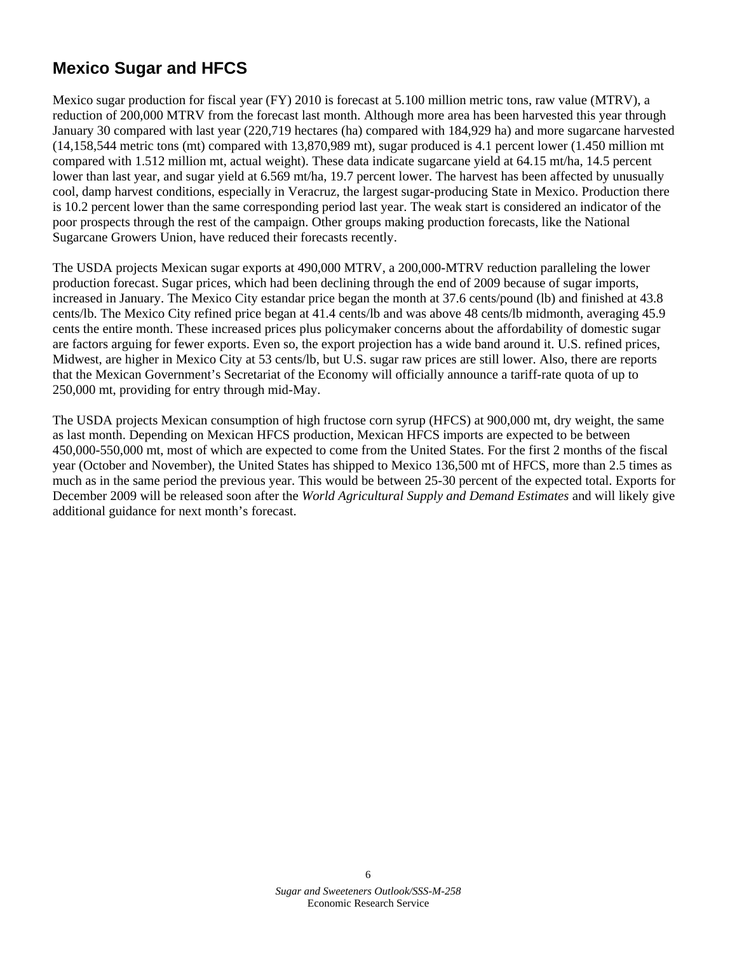# <span id="page-5-0"></span>**Mexico Sugar and HFCS**

Mexico sugar production for fiscal year (FY) 2010 is forecast at 5.100 million metric tons, raw value (MTRV), a reduction of 200,000 MTRV from the forecast last month. Although more area has been harvested this year through January 30 compared with last year (220,719 hectares (ha) compared with 184,929 ha) and more sugarcane harvested (14,158,544 metric tons (mt) compared with 13,870,989 mt), sugar produced is 4.1 percent lower (1.450 million mt compared with 1.512 million mt, actual weight). These data indicate sugarcane yield at 64.15 mt/ha, 14.5 percent lower than last year, and sugar yield at 6.569 mt/ha, 19.7 percent lower. The harvest has been affected by unusually cool, damp harvest conditions, especially in Veracruz, the largest sugar-producing State in Mexico. Production there is 10.2 percent lower than the same corresponding period last year. The weak start is considered an indicator of the poor prospects through the rest of the campaign. Other groups making production forecasts, like the National Sugarcane Growers Union, have reduced their forecasts recently.

The USDA projects Mexican sugar exports at 490,000 MTRV, a 200,000-MTRV reduction paralleling the lower production forecast. Sugar prices, which had been declining through the end of 2009 because of sugar imports, increased in January. The Mexico City estandar price began the month at 37.6 cents/pound (lb) and finished at 43.8 cents/lb. The Mexico City refined price began at 41.4 cents/lb and was above 48 cents/lb midmonth, averaging 45.9 cents the entire month. These increased prices plus policymaker concerns about the affordability of domestic sugar are factors arguing for fewer exports. Even so, the export projection has a wide band around it. U.S. refined prices, Midwest, are higher in Mexico City at 53 cents/lb, but U.S. sugar raw prices are still lower. Also, there are reports that the Mexican Government's Secretariat of the Economy will officially announce a tariff-rate quota of up to 250,000 mt, providing for entry through mid-May.

The USDA projects Mexican consumption of high fructose corn syrup (HFCS) at 900,000 mt, dry weight, the same as last month. Depending on Mexican HFCS production, Mexican HFCS imports are expected to be between 450,000-550,000 mt, most of which are expected to come from the United States. For the first 2 months of the fiscal year (October and November), the United States has shipped to Mexico 136,500 mt of HFCS, more than 2.5 times as much as in the same period the previous year. This would be between 25-30 percent of the expected total. Exports for December 2009 will be released soon after the *World Agricultural Supply and Demand Estimates* and will likely give additional guidance for next month's forecast.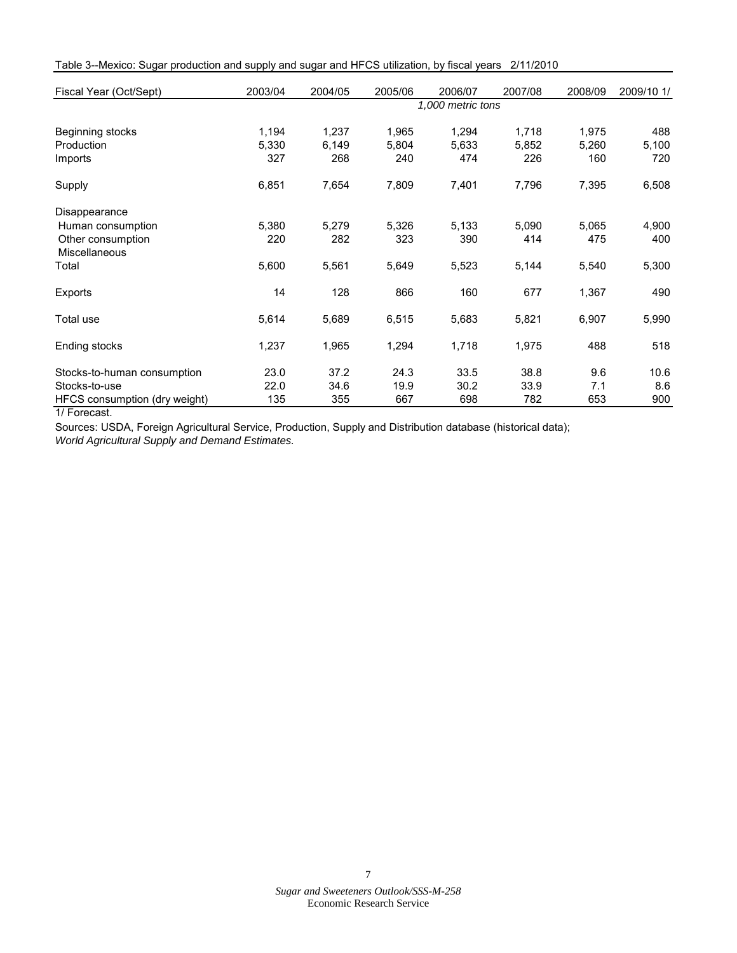| Table 3--Mexico: Sugar production and supply and sugar and HFCS utilization, by fiscal years 2/11/2010 |  |
|--------------------------------------------------------------------------------------------------------|--|
|--------------------------------------------------------------------------------------------------------|--|

| Fiscal Year (Oct/Sept)                    | 2003/04 | 2004/05           | 2005/06 | 2006/07 | 2007/08 | 2008/09 | 2009/10 1/ |  |  |  |
|-------------------------------------------|---------|-------------------|---------|---------|---------|---------|------------|--|--|--|
|                                           |         | 1,000 metric tons |         |         |         |         |            |  |  |  |
| Beginning stocks                          | 1,194   | 1,237             | 1,965   | 1,294   | 1,718   | 1,975   | 488        |  |  |  |
| Production                                | 5,330   | 6,149             | 5,804   | 5,633   | 5,852   | 5,260   | 5,100      |  |  |  |
| Imports                                   | 327     | 268               | 240     | 474     | 226     | 160     | 720        |  |  |  |
| Supply                                    | 6,851   | 7,654             | 7,809   | 7,401   | 7,796   | 7,395   | 6,508      |  |  |  |
| Disappearance                             |         |                   |         |         |         |         |            |  |  |  |
| Human consumption                         | 5,380   | 5,279             | 5,326   | 5,133   | 5,090   | 5,065   | 4,900      |  |  |  |
| Other consumption<br><b>Miscellaneous</b> | 220     | 282               | 323     | 390     | 414     | 475     | 400        |  |  |  |
| Total                                     | 5,600   | 5,561             | 5,649   | 5,523   | 5,144   | 5,540   | 5,300      |  |  |  |
| Exports                                   | 14      | 128               | 866     | 160     | 677     | 1,367   | 490        |  |  |  |
| Total use                                 | 5,614   | 5,689             | 6,515   | 5,683   | 5,821   | 6,907   | 5,990      |  |  |  |
| Ending stocks                             | 1,237   | 1,965             | 1,294   | 1,718   | 1,975   | 488     | 518        |  |  |  |
| Stocks-to-human consumption               | 23.0    | 37.2              | 24.3    | 33.5    | 38.8    | 9.6     | 10.6       |  |  |  |
| Stocks-to-use                             | 22.0    | 34.6              | 19.9    | 30.2    | 33.9    | 7.1     | 8.6        |  |  |  |
| HFCS consumption (dry weight)             | 135     | 355               | 667     | 698     | 782     | 653     | 900        |  |  |  |

1/ Forecast.

Sources: USDA, Foreign Agricultural Service, Production, Supply and Distribution database (historical data); *World Agricultural Supply and Demand Estimates.*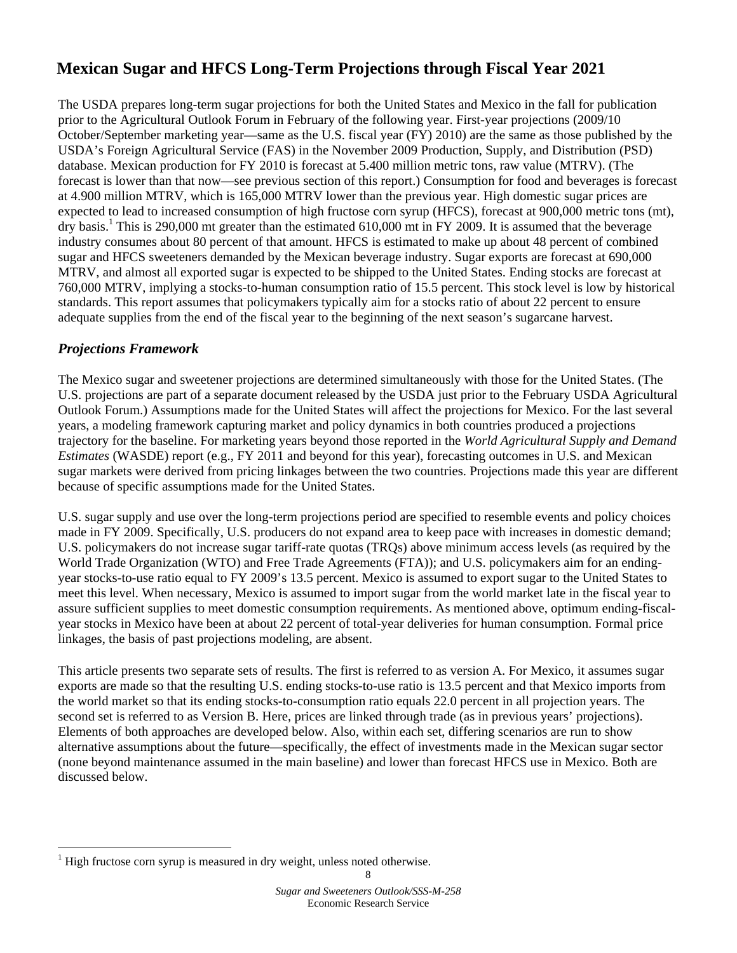# <span id="page-7-0"></span> **Mexican Sugar and HFCS Long-Term Projections through Fiscal Year 2021**

The USDA prepares long-term sugar projections for both the United States and Mexico in the fall for publication prior to the Agricultural Outlook Forum in February of the following year. First-year projections (2009/10 October/September marketing year—same as the U.S. fiscal year (FY) 2010) are the same as those published by the USDA's Foreign Agricultural Service (FAS) in the November 2009 Production, Supply, and Distribution (PSD) database. Mexican production for FY 2010 is forecast at 5.400 million metric tons, raw value (MTRV). (The forecast is lower than that now—see previous section of this report.) Consumption for food and beverages is forecast at 4.900 million MTRV, which is 165,000 MTRV lower than the previous year. High domestic sugar prices are expected to lead to increased consumption of high fructose corn syrup (HFCS), forecast at 900,000 metric tons (mt), dry basis.<sup>1</sup> This is 290,000 mt greater than the estimated 610,000 mt in FY 2009. It is assumed that the beverage industry consumes about 80 percent of that amount. HFCS is estimated to make up about 48 percent of combined sugar and HFCS sweeteners demanded by the Mexican beverage industry. Sugar exports are forecast at 690,000 MTRV, and almost all exported sugar is expected to be shipped to the United States. Ending stocks are forecast at 760,000 MTRV, implying a stocks-to-human consumption ratio of 15.5 percent. This stock level is low by historical standards. This report assumes that policymakers typically aim for a stocks ratio of about 22 percent to ensure adequate supplies from the end of the fiscal year to the beginning of the next season's sugarcane harvest.

# *Projections Framework*

<u>.</u>

The Mexico sugar and sweetener projections are determined simultaneously with those for the United States. (The U.S. projections are part of a separate document released by the USDA just prior to the February USDA Agricultural Outlook Forum.) Assumptions made for the United States will affect the projections for Mexico. For the last several years, a modeling framework capturing market and policy dynamics in both countries produced a projections trajectory for the baseline. For marketing years beyond those reported in the *World Agricultural Supply and Demand Estimates* (WASDE) report (e.g., FY 2011 and beyond for this year), forecasting outcomes in U.S. and Mexican sugar markets were derived from pricing linkages between the two countries. Projections made this year are different because of specific assumptions made for the United States.

U.S. sugar supply and use over the long-term projections period are specified to resemble events and policy choices made in FY 2009. Specifically, U.S. producers do not expand area to keep pace with increases in domestic demand; U.S. policymakers do not increase sugar tariff-rate quotas (TRQs) above minimum access levels (as required by the World Trade Organization (WTO) and Free Trade Agreements (FTA)); and U.S. policymakers aim for an endingyear stocks-to-use ratio equal to FY 2009's 13.5 percent. Mexico is assumed to export sugar to the United States to meet this level. When necessary, Mexico is assumed to import sugar from the world market late in the fiscal year to assure sufficient supplies to meet domestic consumption requirements. As mentioned above, optimum ending-fiscalyear stocks in Mexico have been at about 22 percent of total-year deliveries for human consumption. Formal price linkages, the basis of past projections modeling, are absent.

This article presents two separate sets of results. The first is referred to as version A. For Mexico, it assumes sugar exports are made so that the resulting U.S. ending stocks-to-use ratio is 13.5 percent and that Mexico imports from the world market so that its ending stocks-to-consumption ratio equals 22.0 percent in all projection years. The second set is referred to as Version B. Here, prices are linked through trade (as in previous years' projections). Elements of both approaches are developed below. Also, within each set, differing scenarios are run to show alternative assumptions about the future—specifically, the effect of investments made in the Mexican sugar sector (none beyond maintenance assumed in the main baseline) and lower than forecast HFCS use in Mexico. Both are discussed below.

<sup>1</sup> High fructose corn syrup is measured in dry weight, unless noted otherwise.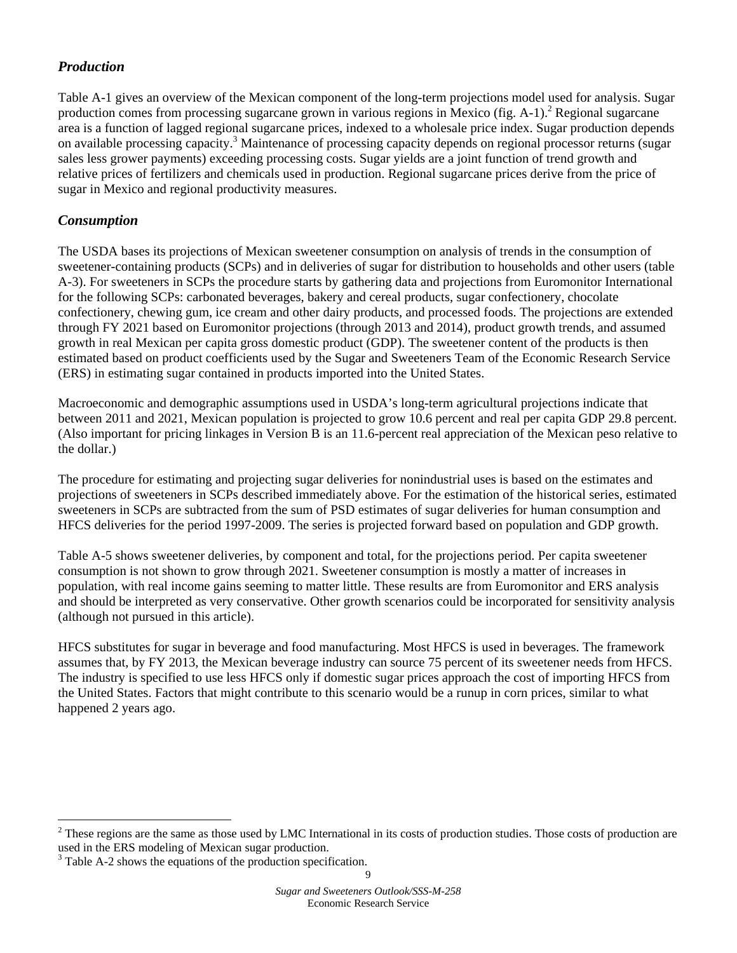# *Production*

Table A-1 gives an overview of the Mexican component of the long-term projections model used for analysis. Sugar production comes from processing sugarcane grown in various regions in Mexico (fig. A-1).<sup>2</sup> Regional sugarcane area is a function of lagged regional sugarcane prices, indexed to a wholesale price index. Sugar production depends on available processing capacity.<sup>3</sup> Maintenance of processing capacity depends on regional processor returns (sugar sales less grower payments) exceeding processing costs. Sugar yields are a joint function of trend growth and relative prices of fertilizers and chemicals used in production. Regional sugarcane prices derive from the price of sugar in Mexico and regional productivity measures.

# *Consumption*

1

The USDA bases its projections of Mexican sweetener consumption on analysis of trends in the consumption of sweetener-containing products (SCPs) and in deliveries of sugar for distribution to households and other users (table A-3). For sweeteners in SCPs the procedure starts by gathering data and projections from Euromonitor International for the following SCPs: carbonated beverages, bakery and cereal products, sugar confectionery, chocolate confectionery, chewing gum, ice cream and other dairy products, and processed foods. The projections are extended through FY 2021 based on Euromonitor projections (through 2013 and 2014), product growth trends, and assumed growth in real Mexican per capita gross domestic product (GDP). The sweetener content of the products is then estimated based on product coefficients used by the Sugar and Sweeteners Team of the Economic Research Service (ERS) in estimating sugar contained in products imported into the United States.

Macroeconomic and demographic assumptions used in USDA's long-term agricultural projections indicate that between 2011 and 2021, Mexican population is projected to grow 10.6 percent and real per capita GDP 29.8 percent. (Also important for pricing linkages in Version B is an 11.6-percent real appreciation of the Mexican peso relative to the dollar.)

The procedure for estimating and projecting sugar deliveries for nonindustrial uses is based on the estimates and projections of sweeteners in SCPs described immediately above. For the estimation of the historical series, estimated sweeteners in SCPs are subtracted from the sum of PSD estimates of sugar deliveries for human consumption and HFCS deliveries for the period 1997-2009. The series is projected forward based on population and GDP growth.

Table A-5 shows sweetener deliveries, by component and total, for the projections period. Per capita sweetener consumption is not shown to grow through 2021. Sweetener consumption is mostly a matter of increases in population, with real income gains seeming to matter little. These results are from Euromonitor and ERS analysis and should be interpreted as very conservative. Other growth scenarios could be incorporated for sensitivity analysis (although not pursued in this article).

HFCS substitutes for sugar in beverage and food manufacturing. Most HFCS is used in beverages. The framework assumes that, by FY 2013, the Mexican beverage industry can source 75 percent of its sweetener needs from HFCS. The industry is specified to use less HFCS only if domestic sugar prices approach the cost of importing HFCS from the United States. Factors that might contribute to this scenario would be a runup in corn prices, similar to what happened 2 years ago.

 $2^2$  These regions are the same as those used by LMC International in its costs of production studies. Those costs of production are used in the ERS modeling of Mexican sugar production.

<sup>&</sup>lt;sup>3</sup> Table A-2 shows the equations of the production specification.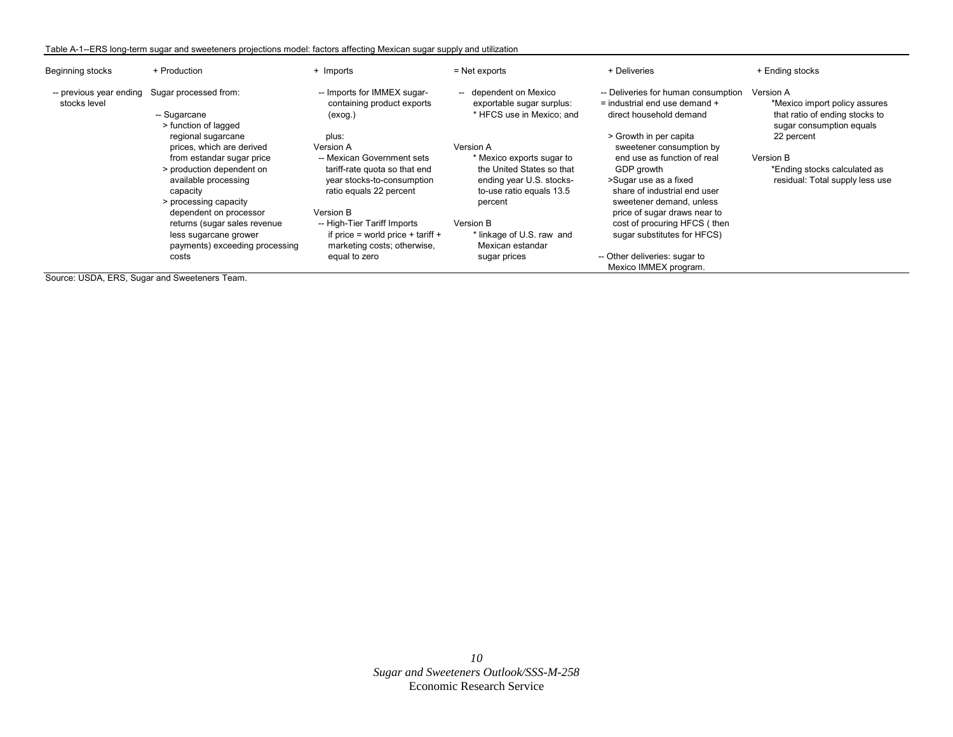#### Table A-1--ERS long-term sugar and sweeteners projections model: factors affecting Mexican sugar supply and utilization

| Beginning stocks | + Production                                                                                                                                                                                                                                                                                         | + Imports                                                                                                                                                                                                                                                                   | $=$ Net exports                                                                                                                                                                                                      | + Deliveries                                                                                                                                                                                                                                                                                                                                  | + Ending stocks                                                                                                 |
|------------------|------------------------------------------------------------------------------------------------------------------------------------------------------------------------------------------------------------------------------------------------------------------------------------------------------|-----------------------------------------------------------------------------------------------------------------------------------------------------------------------------------------------------------------------------------------------------------------------------|----------------------------------------------------------------------------------------------------------------------------------------------------------------------------------------------------------------------|-----------------------------------------------------------------------------------------------------------------------------------------------------------------------------------------------------------------------------------------------------------------------------------------------------------------------------------------------|-----------------------------------------------------------------------------------------------------------------|
| stocks level     | -- previous year ending Sugar processed from:<br>-- Sugarcane<br>> function of lagged                                                                                                                                                                                                                | -- Imports for IMMEX sugar-<br>containing product exports<br>(exog.)                                                                                                                                                                                                        | -- dependent on Mexico<br>exportable sugar surplus:<br>* HFCS use in Mexico; and                                                                                                                                     | -- Deliveries for human consumption<br>$=$ industrial end use demand $+$<br>direct household demand                                                                                                                                                                                                                                           | <b>Version A</b><br>*Mexico import policy assures<br>that ratio of ending stocks to<br>sugar consumption equals |
|                  | regional sugarcane<br>prices, which are derived<br>from estandar sugar price<br>> production dependent on<br>available processing<br>capacity<br>> processing capacity<br>dependent on processor<br>returns (sugar sales revenue<br>less sugarcane grower<br>payments) exceeding processing<br>costs | plus:<br>Version A<br>-- Mexican Government sets<br>tariff-rate quota so that end<br>year stocks-to-consumption<br>ratio equals 22 percent<br>Version B<br>-- High-Tier Tariff Imports<br>if price = world price + tariff +<br>marketing costs; otherwise,<br>equal to zero | Version A<br>* Mexico exports sugar to<br>the United States so that<br>ending year U.S. stocks-<br>to-use ratio equals 13.5<br>percent<br>Version B<br>* linkage of U.S. raw and<br>Mexican estandar<br>sugar prices | > Growth in per capita<br>sweetener consumption by<br>end use as function of real<br>GDP growth<br>>Sugar use as a fixed<br>share of industrial end user<br>sweetener demand, unless<br>price of sugar draws near to<br>cost of procuring HFCS (then<br>sugar substitutes for HFCS)<br>-- Other deliveries: sugar to<br>Mexico IMMEX program. | 22 percent<br>Version B<br>*Ending stocks calculated as<br>residual: Total supply less use                      |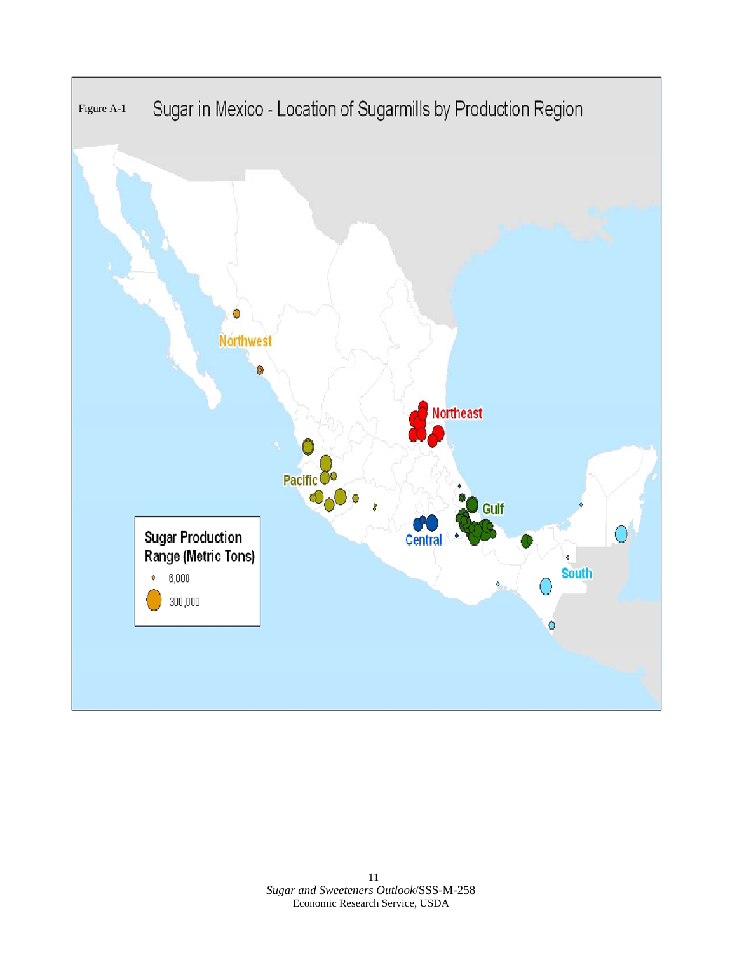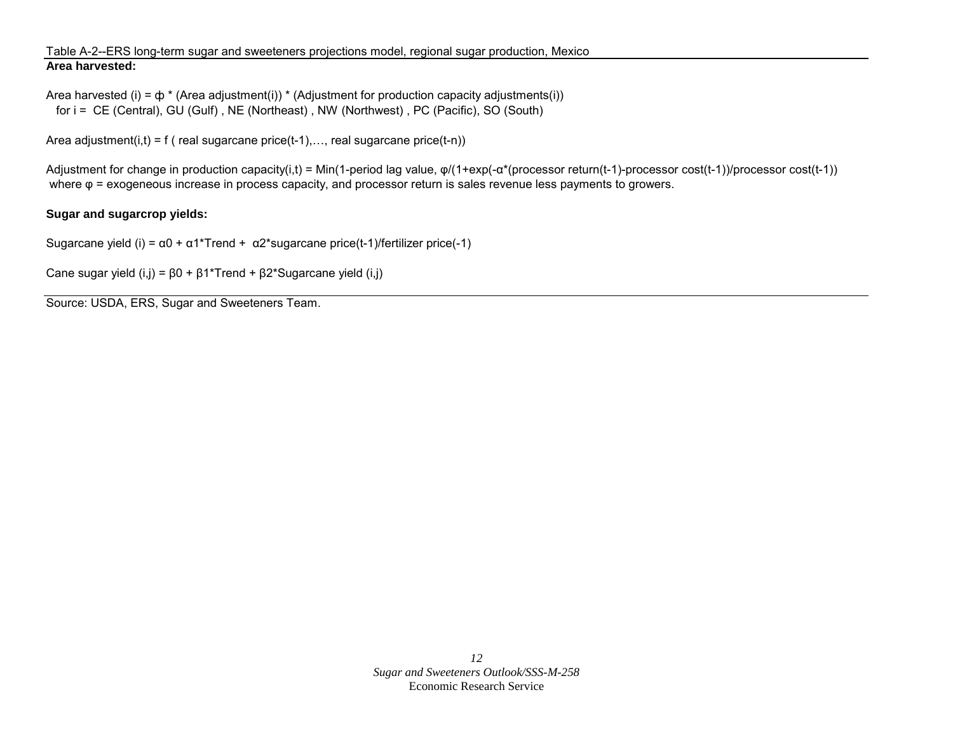### Table A-2--ERS long-term sugar and sweeteners projections model, regional sugar production, Mexico **Area harvested:**

```
Area harvested (i) = \phi * (Area adjustment(i)) * (Adjustment for production capacity adjustments(i))
for i = CE (Central), GU (Gulf), NE (Northeast), NW (Northwest), PC (Pacific), SO (South)
```
Area adjustment(i,t) = f ( real sugarcane price(t-1),..., real sugarcane price(t-n))

Adjustment for change in production capacity(i,t) = Min(1-period lag value, φ/(1+exp(-α\*(processor return(t-1)-processor cost(t-1))/processor cost(t-1)) where φ = exogeneous increase in process capacity, and processor return is sales revenue less payments to growers.

### **Sugar and sugarcrop yields:**

Sugarcane yield (i) =  $\alpha$ 0 +  $\alpha$ 1\*Trend +  $\alpha$ 2\*sugarcane price(t-1)/fertilizer price(-1)

Cane sugar yield  $(i,j) = \beta 0 + \beta 1$ \*Trend +  $\beta 2$ \*Sugarcane yield  $(i,j)$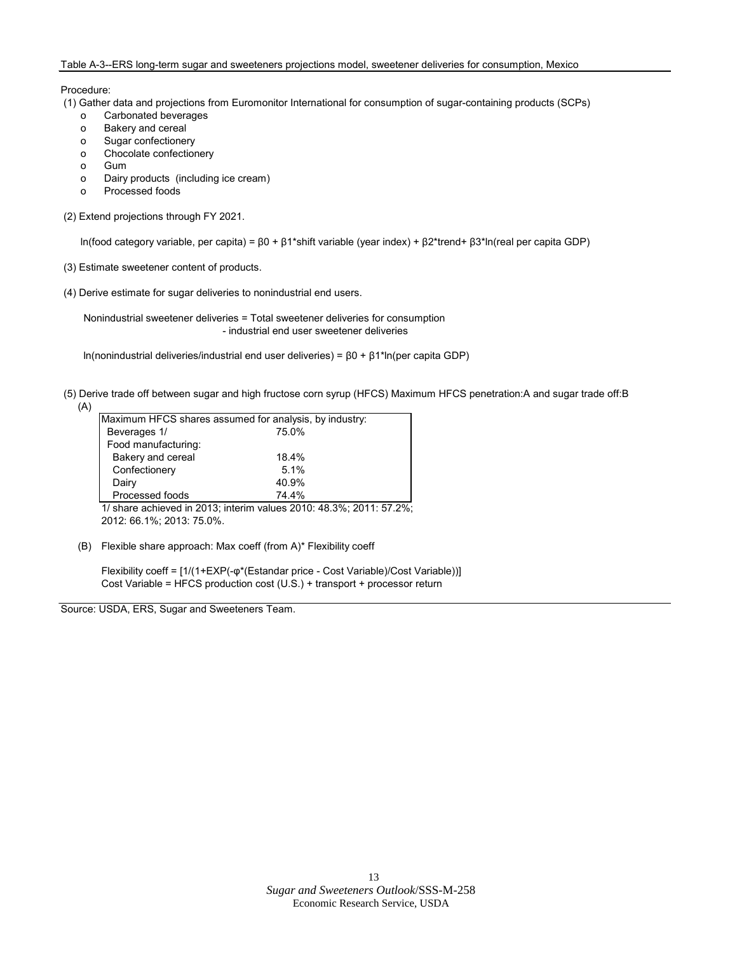#### Table A-3--ERS long-term sugar and sweeteners projections model, sweetener deliveries for consumption, Mexico

Procedure:

(1) Gather data and projections from Euromonitor International for consumption of sugar-containing products (SCPs)

- o Carbonated beverages
- o Bakery and cereal
- o Sugar confectionery
- o Chocolate confectionery
- o Gum
- o Dairy products (including ice cream)
- o Processed foods
- (2) Extend projections through FY 2021.

ln(food category variable, per capita) = β0 + β1\*shift variable (year index) + β2\*trend+ β3\*ln(real per capita GDP)

- (3) Estimate sweetener content of products.
- (4) Derive estimate for sugar deliveries to nonindustrial end users.

 Nonindustrial sweetener deliveries = Total sweetener deliveries for consumption - industrial end user sweetener deliveries

ln(nonindustrial deliveries/industrial end user deliveries) = β0 + β1\*ln(per capita GDP)

| (5) Derive trade off between sugar and high fructose corn syrup (HFCS) Maximum HFCS penetration: A and sugar trade off: B |  |  |  |
|---------------------------------------------------------------------------------------------------------------------------|--|--|--|
|                                                                                                                           |  |  |  |

| Maximum HFCS shares assumed for analysis, by industry: |       |  |  |  |  |  |
|--------------------------------------------------------|-------|--|--|--|--|--|
| Beverages 1/                                           | 75.0% |  |  |  |  |  |
| Food manufacturing:                                    |       |  |  |  |  |  |
| Bakery and cereal                                      | 18.4% |  |  |  |  |  |
| Confectionery                                          | 5.1%  |  |  |  |  |  |
| Dairy                                                  | 40.9% |  |  |  |  |  |
| Processed foods                                        | 74.4% |  |  |  |  |  |

1/ share achieved in 2013; interim values 2010: 48.3%; 2011: 57.2%; 2012: 66.1%; 2013: 75.0%.

(B) Flexible share approach: Max coeff (from A)\* Flexibility coeff

Flexibility coeff = [1/(1+EXP(-φ\*(Estandar price - Cost Variable)/Cost Variable))] Cost Variable = HFCS production cost (U.S.) + transport + processor return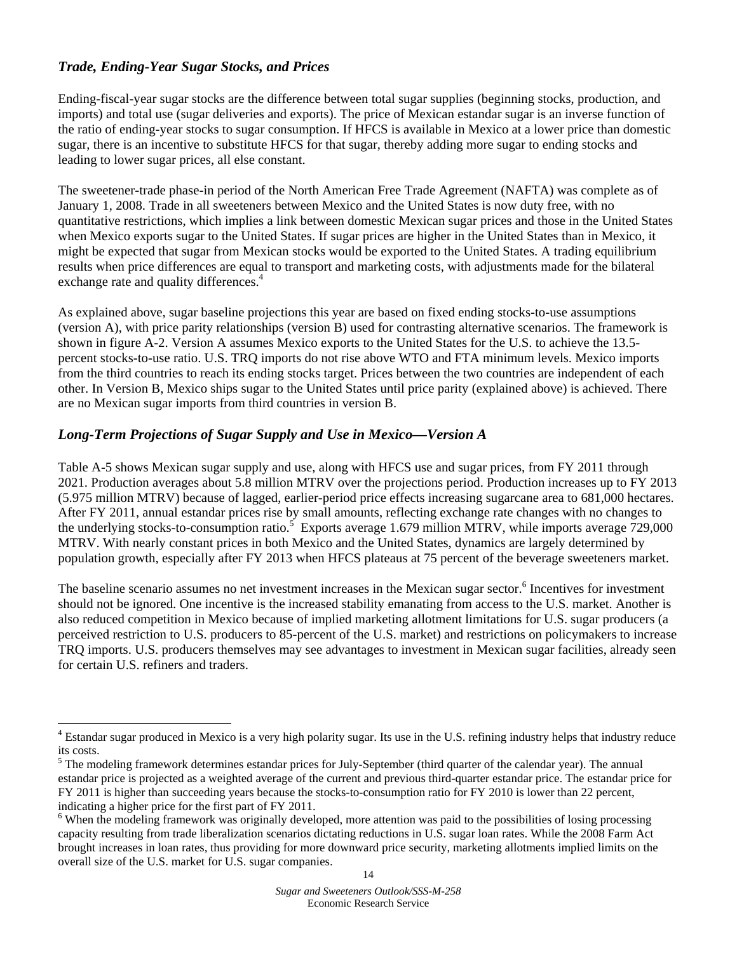# *Trade, Ending-Year Sugar Stocks, and Prices*

1

Ending-fiscal-year sugar stocks are the difference between total sugar supplies (beginning stocks, production, and imports) and total use (sugar deliveries and exports). The price of Mexican estandar sugar is an inverse function of the ratio of ending-year stocks to sugar consumption. If HFCS is available in Mexico at a lower price than domestic sugar, there is an incentive to substitute HFCS for that sugar, thereby adding more sugar to ending stocks and leading to lower sugar prices, all else constant.

The sweetener-trade phase-in period of the North American Free Trade Agreement (NAFTA) was complete as of January 1, 2008. Trade in all sweeteners between Mexico and the United States is now duty free, with no quantitative restrictions, which implies a link between domestic Mexican sugar prices and those in the United States when Mexico exports sugar to the United States. If sugar prices are higher in the United States than in Mexico, it might be expected that sugar from Mexican stocks would be exported to the United States. A trading equilibrium results when price differences are equal to transport and marketing costs, with adjustments made for the bilateral exchange rate and quality differences.<sup>4</sup>

As explained above, sugar baseline projections this year are based on fixed ending stocks-to-use assumptions (version A), with price parity relationships (version B) used for contrasting alternative scenarios. The framework is shown in figure A-2. Version A assumes Mexico exports to the United States for the U.S. to achieve the 13.5 percent stocks-to-use ratio. U.S. TRQ imports do not rise above WTO and FTA minimum levels. Mexico imports from the third countries to reach its ending stocks target. Prices between the two countries are independent of each other. In Version B, Mexico ships sugar to the United States until price parity (explained above) is achieved. There are no Mexican sugar imports from third countries in version B.

# *Long-Term Projections of Sugar Supply and Use in Mexico—Version A*

Table A-5 shows Mexican sugar supply and use, along with HFCS use and sugar prices, from FY 2011 through 2021. Production averages about 5.8 million MTRV over the projections period. Production increases up to FY 2013 (5.975 million MTRV) because of lagged, earlier-period price effects increasing sugarcane area to 681,000 hectares. After FY 2011, annual estandar prices rise by small amounts, reflecting exchange rate changes with no changes to the underlying stocks-to-consumption ratio.<sup>5</sup> Exports average 1.679 million MTRV, while imports average  $729,000$ MTRV. With nearly constant prices in both Mexico and the United States, dynamics are largely determined by population growth, especially after FY 2013 when HFCS plateaus at 75 percent of the beverage sweeteners market.

The baseline scenario assumes no net investment increases in the Mexican sugar sector.<sup>6</sup> Incentives for investment should not be ignored. One incentive is the increased stability emanating from access to the U.S. market. Another is also reduced competition in Mexico because of implied marketing allotment limitations for U.S. sugar producers (a perceived restriction to U.S. producers to 85-percent of the U.S. market) and restrictions on policymakers to increase TRQ imports. U.S. producers themselves may see advantages to investment in Mexican sugar facilities, already seen for certain U.S. refiners and traders.

<sup>&</sup>lt;sup>4</sup> Estandar sugar produced in Mexico is a very high polarity sugar. Its use in the U.S. refining industry helps that industry reduce its costs.

<sup>&</sup>lt;sup>5</sup> The modeling framework determines estandar prices for July-September (third quarter of the calendar year). The annual estandar price is projected as a weighted average of the current and previous third-quarter estandar price. The estandar price for FY 2011 is higher than succeeding years because the stocks-to-consumption ratio for FY 2010 is lower than 22 percent, indicating a higher price for the first part of FY 2011.

<sup>&</sup>lt;sup>6</sup> When the modeling framework was originally developed, more attention was paid to the possibilities of losing processing capacity resulting from trade liberalization scenarios dictating reductions in U.S. sugar loan rates. While the 2008 Farm Act brought increases in loan rates, thus providing for more downward price security, marketing allotments implied limits on the overall size of the U.S. market for U.S. sugar companies.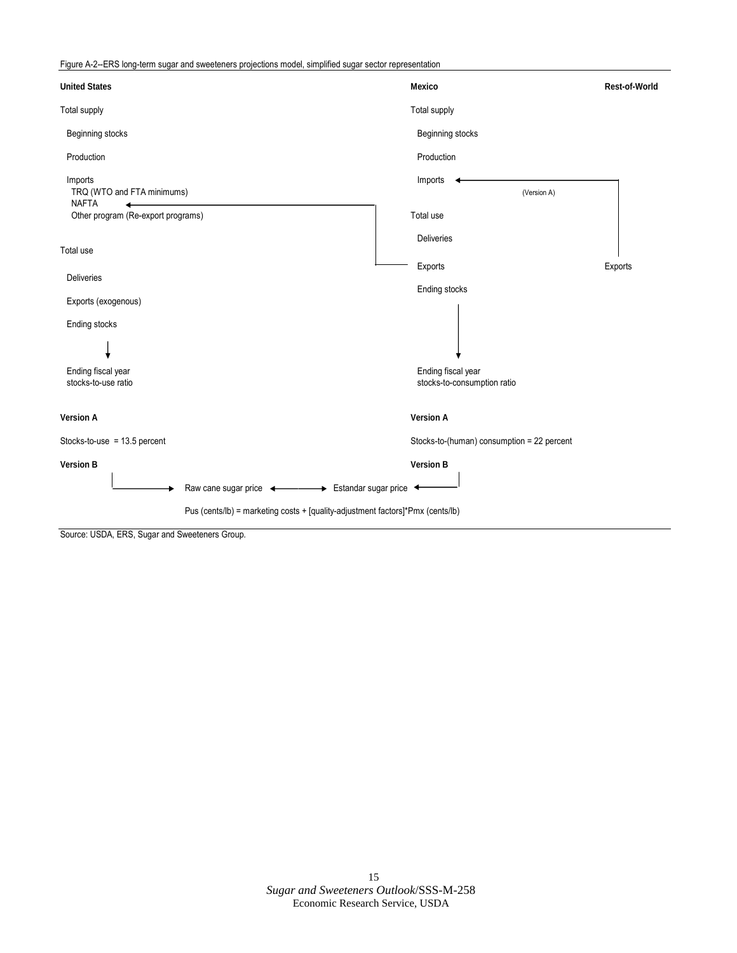Figure A-2--ERS long-term sugar and sweeteners projections model, simplified sugar sector representation

| <b>United States</b>                                                           | <b>Mexico</b>                                     | <b>Rest-of-World</b> |
|--------------------------------------------------------------------------------|---------------------------------------------------|----------------------|
| <b>Total supply</b>                                                            | Total supply                                      |                      |
| Beginning stocks                                                               | Beginning stocks                                  |                      |
| Production                                                                     | Production                                        |                      |
| Imports<br>TRQ (WTO and FTA minimums)<br><b>NAFTA</b>                          | Imports                                           | (Version A)          |
| Other program (Re-export programs)                                             | Total use                                         |                      |
| Total use                                                                      | Deliveries                                        |                      |
|                                                                                | Exports                                           | Exports              |
| <b>Deliveries</b>                                                              | Ending stocks                                     |                      |
| Exports (exogenous)                                                            |                                                   |                      |
| <b>Ending stocks</b>                                                           |                                                   |                      |
|                                                                                |                                                   |                      |
| Ending fiscal year<br>stocks-to-use ratio                                      | Ending fiscal year<br>stocks-to-consumption ratio |                      |
|                                                                                |                                                   |                      |
| <b>Version A</b>                                                               | <b>Version A</b>                                  |                      |
| Stocks-to-use = $13.5$ percent                                                 | Stocks-to-(human) consumption = 22 percent        |                      |
| <b>Version B</b>                                                               | <b>Version B</b>                                  |                      |
| Raw cane sugar price $\longleftrightarrow$ Estandar sugar price $\leftarrow$   |                                                   |                      |
| Pus (cents/lb) = marketing costs + [quality-adjustment factors]*Pmx (cents/lb) |                                                   |                      |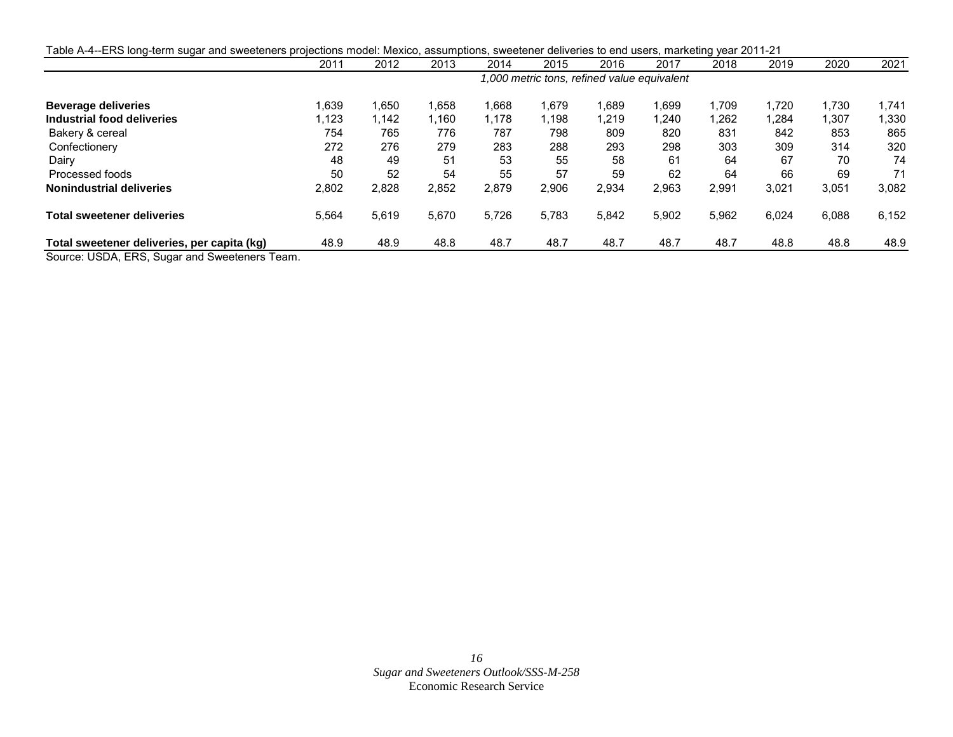| Table A-4--ERS long-term sugar and sweeteners projections model: Mexico, assumptions, sweetener deliveries to end users, marketing year 2011-21  |       |       |       |       |       |                                             |       |       |       |        |       |
|--------------------------------------------------------------------------------------------------------------------------------------------------|-------|-------|-------|-------|-------|---------------------------------------------|-------|-------|-------|--------|-------|
|                                                                                                                                                  | 2011  | 2012  | 2013  | 2014  | 2015  | 2016                                        | 2017  | 2018  | 2019  | 2020   | 2021  |
|                                                                                                                                                  |       |       |       |       |       | 1,000 metric tons, refined value equivalent |       |       |       |        |       |
| <b>Beverage deliveries</b>                                                                                                                       | 1,639 | 1,650 | 1,658 | .668  | 1,679 | 889. ا                                      | 1,699 | 1.709 | 1,720 | 1.730  | 1.741 |
| Industrial food deliveries                                                                                                                       | 1,123 | 1,142 | 1,160 | 178,، | ,198  | 219. ا                                      | 1,240 | 1,262 | 1,284 | 307. ا | 1,330 |
| Bakery & cereal                                                                                                                                  | 754   | 765   | 776   | 787   | 798   | 809                                         | 820   | 831   | 842   | 853    | 865   |
| Confectionery                                                                                                                                    | 272   | 276   | 279   | 283   | 288   | 293                                         | 298   | 303   | 309   | 314    | 320   |
| Dairy                                                                                                                                            | 48    | 49    | 51    | 53    | 55    | 58                                          | 61    | 64    | 67    | 70     | 74    |
| Processed foods                                                                                                                                  | 50    | 52    | 54    | 55    | 57    | 59                                          | 62    | 64    | 66    | 69     | 71    |
| <b>Nonindustrial deliveries</b>                                                                                                                  | 2,802 | 2,828 | 2,852 | 2,879 | 2,906 | 2,934                                       | 2,963 | 2,991 | 3,021 | 3,051  | 3,082 |
| <b>Total sweetener deliveries</b>                                                                                                                | 5,564 | 5,619 | 5,670 | 5,726 | 5,783 | 5,842                                       | 5,902 | 5,962 | 6,024 | 6,088  | 6,152 |
| Total sweetener deliveries, per capita (kg)<br>$O_{\text{current}}$ , $IIPDA$ , $FDA$ , $O_{\text{current}}$ and $O_{\text{current}}$ and $Tann$ | 48.9  | 48.9  | 48.8  | 48.7  | 48.7  | 48.7                                        | 48.7  | 48.7  | 48.8  | 48.8   | 48.9  |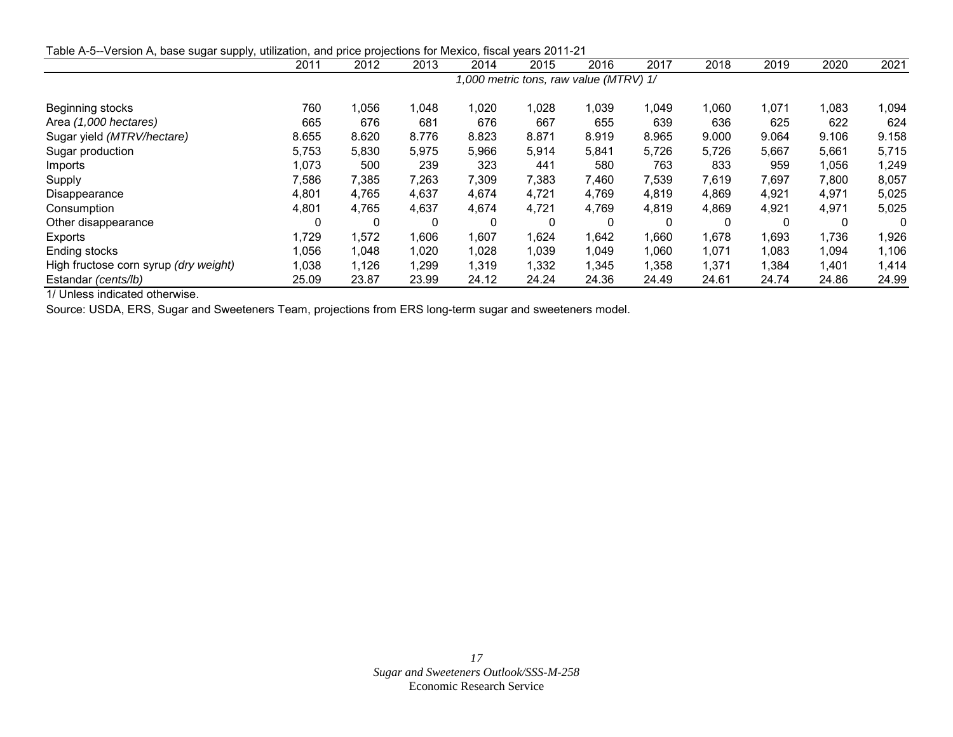Table A-5--Version A, base sugar supply, utilization, and price projections for Mexico, fiscal years 2011-21

|                                       | 2011                                   | 2012   | 2013  | 2014         | 2015  | 2016  | 2017  | 2018  | 2019  | 2020  | 2021  |
|---------------------------------------|----------------------------------------|--------|-------|--------------|-------|-------|-------|-------|-------|-------|-------|
|                                       | 1,000 metric tons, raw value (MTRV) 1/ |        |       |              |       |       |       |       |       |       |       |
| Beginning stocks                      | 760                                    | 056, ا | 1,048 | 1,020        | 1,028 | 1,039 | 1,049 | 1,060 | 1,071 | 1,083 | ,094  |
| Area (1,000 hectares)                 | 665                                    | 676    | 681   | 676          | 667   | 655   | 639   | 636   | 625   | 622   | 624   |
| Sugar yield (MTRV/hectare)            | 8.655                                  | 8.620  | 8.776 | 8.823        | 8.871 | 8.919 | 8.965 | 9.000 | 9.064 | 9.106 | 9.158 |
| Sugar production                      | 5,753                                  | 5,830  | 5,975 | 5,966        | 5,914 | 5,841 | 5,726 | 5,726 | 5,667 | 5,661 | 5,715 |
| Imports                               | 1,073                                  | 500    | 239   | 323          | 441   | 580   | 763   | 833   | 959   | 1,056 | 1,249 |
| Supply                                | 7,586                                  | 7,385  | 7,263 | 7,309        | 7,383 | 7,460 | 7,539 | 7,619 | 7,697 | 7,800 | 8,057 |
| Disappearance                         | 4,801                                  | 4,765  | 4,637 | 4,674        | 4.721 | 4,769 | 4,819 | 4,869 | 4,921 | 4,971 | 5,025 |
| Consumption                           | 4,801                                  | 4,765  | 4,637 | 4,674        | 4,721 | 4,769 | 4,819 | 4,869 | 4,921 | 4,971 | 5,025 |
| Other disappearance                   |                                        | 0      | 0     | $\mathbf{0}$ | 0     |       |       | 0     | 0     |       | 0     |
| Exports                               | 1,729                                  | 1,572  | 1,606 | 1,607        | 1,624 | 1,642 | 1,660 | 1,678 | 1,693 | 1,736 | 1,926 |
| Ending stocks                         | 1,056                                  | 1,048  | 1,020 | 1,028        | 1,039 | 1,049 | 1,060 | 1,071 | 1,083 | 1,094 | 1,106 |
| High fructose corn syrup (dry weight) | 1,038                                  | 1,126  | 1,299 | 1,319        | 1,332 | 1,345 | 1,358 | 1,371 | 1,384 | 1,401 | 1,414 |
| Estandar (cents/lb)                   | 25.09                                  | 23.87  | 23.99 | 24.12        | 24.24 | 24.36 | 24.49 | 24.61 | 24.74 | 24.86 | 24.99 |

1/ Unless indicated otherwise.

Source: USDA, ERS, Sugar and Sweeteners Team, projections from ERS long-term sugar and sweeteners model.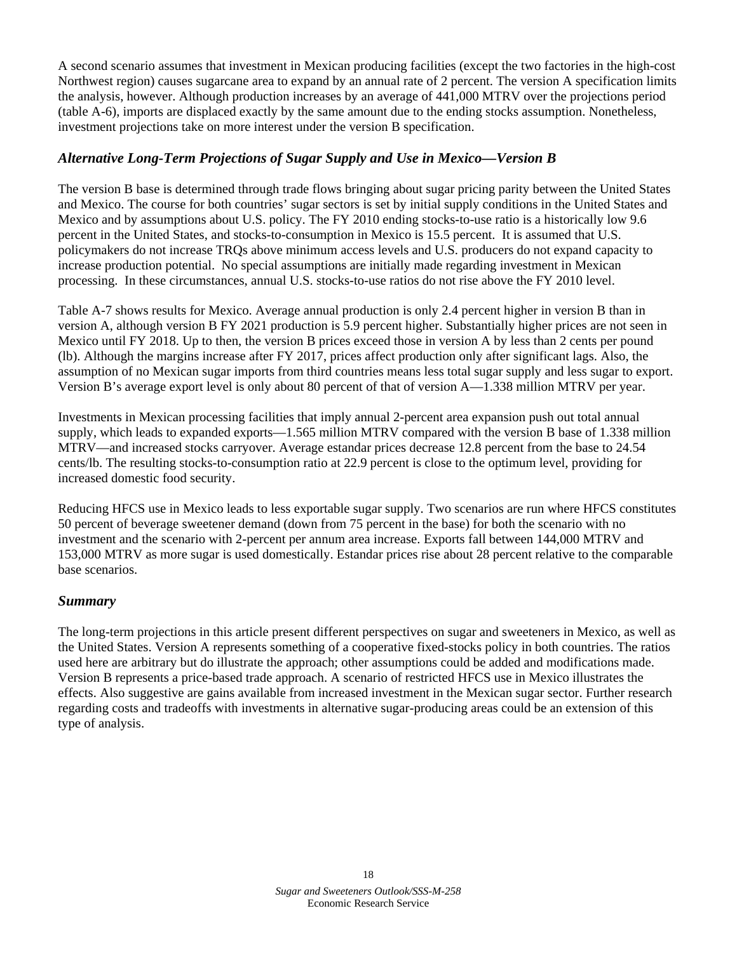A second scenario assumes that investment in Mexican producing facilities (except the two factories in the high-cost Northwest region) causes sugarcane area to expand by an annual rate of 2 percent. The version A specification limits the analysis, however. Although production increases by an average of 441,000 MTRV over the projections period (table A-6), imports are displaced exactly by the same amount due to the ending stocks assumption. Nonetheless, investment projections take on more interest under the version B specification.

# *Alternative Long-Term Projections of Sugar Supply and Use in Mexico—Version B*

The version B base is determined through trade flows bringing about sugar pricing parity between the United States and Mexico. The course for both countries' sugar sectors is set by initial supply conditions in the United States and Mexico and by assumptions about U.S. policy. The FY 2010 ending stocks-to-use ratio is a historically low 9.6 percent in the United States, and stocks-to-consumption in Mexico is 15.5 percent. It is assumed that U.S. policymakers do not increase TRQs above minimum access levels and U.S. producers do not expand capacity to increase production potential. No special assumptions are initially made regarding investment in Mexican processing. In these circumstances, annual U.S. stocks-to-use ratios do not rise above the FY 2010 level.

Table A-7 shows results for Mexico. Average annual production is only 2.4 percent higher in version B than in version A, although version B FY 2021 production is 5.9 percent higher. Substantially higher prices are not seen in Mexico until FY 2018. Up to then, the version B prices exceed those in version A by less than 2 cents per pound (lb). Although the margins increase after FY 2017, prices affect production only after significant lags. Also, the assumption of no Mexican sugar imports from third countries means less total sugar supply and less sugar to export. Version B's average export level is only about 80 percent of that of version A—1.338 million MTRV per year.

Investments in Mexican processing facilities that imply annual 2-percent area expansion push out total annual supply, which leads to expanded exports—1.565 million MTRV compared with the version B base of 1.338 million MTRV—and increased stocks carryover. Average estandar prices decrease 12.8 percent from the base to 24.54 cents/lb. The resulting stocks-to-consumption ratio at 22.9 percent is close to the optimum level, providing for increased domestic food security.

Reducing HFCS use in Mexico leads to less exportable sugar supply. Two scenarios are run where HFCS constitutes 50 percent of beverage sweetener demand (down from 75 percent in the base) for both the scenario with no investment and the scenario with 2-percent per annum area increase. Exports fall between 144,000 MTRV and 153,000 MTRV as more sugar is used domestically. Estandar prices rise about 28 percent relative to the comparable base scenarios.

# *Summary*

The long-term projections in this article present different perspectives on sugar and sweeteners in Mexico, as well as the United States. Version A represents something of a cooperative fixed-stocks policy in both countries. The ratios used here are arbitrary but do illustrate the approach; other assumptions could be added and modifications made. Version B represents a price-based trade approach. A scenario of restricted HFCS use in Mexico illustrates the effects. Also suggestive are gains available from increased investment in the Mexican sugar sector. Further research regarding costs and tradeoffs with investments in alternative sugar-producing areas could be an extension of this type of analysis.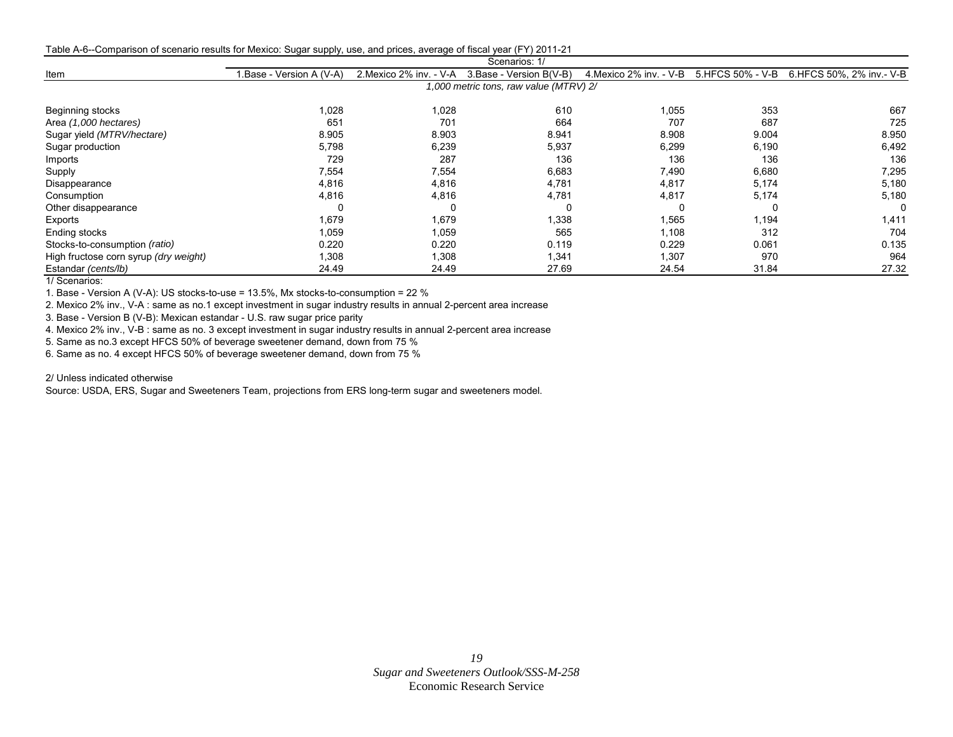Table A-6--Comparison of scenario results for Mexico: Sugar supply, use, and prices, average of fiscal year (FY) 2011-21

|                                       | Scenarios: 1/            |                         |                                        |                                           |       |                           |  |  |  |  |  |
|---------------------------------------|--------------------------|-------------------------|----------------------------------------|-------------------------------------------|-------|---------------------------|--|--|--|--|--|
| Item                                  | I.Base - Version A (V-A) | 2. Mexico 2% inv. - V-A | 3. Base - Version B(V-B)               | 4. Mexico 2% inv. - V-B 5. HFCS 50% - V-B |       | 6.HFCS 50%, 2% inv. - V-B |  |  |  |  |  |
|                                       |                          |                         | 1,000 metric tons, raw value (MTRV) 2/ |                                           |       |                           |  |  |  |  |  |
| Beginning stocks                      | 1,028                    | 1,028                   | 610                                    | 1,055                                     | 353   | 667                       |  |  |  |  |  |
| Area (1,000 hectares)                 | 651                      | 701                     | 664                                    | 707                                       | 687   | 725                       |  |  |  |  |  |
| Sugar yield (MTRV/hectare)            | 8.905                    | 8.903                   | 8.941                                  | 8.908                                     | 9.004 | 8.950                     |  |  |  |  |  |
| Sugar production                      | 5,798                    | 6,239                   | 5,937                                  | 6,299                                     | 6,190 | 6,492                     |  |  |  |  |  |
| Imports                               | 729                      | 287                     | 136                                    | 136                                       | 136   | 136                       |  |  |  |  |  |
| Supply                                | 7,554                    | 7,554                   | 6,683                                  | 7.490                                     | 6,680 | 7,295                     |  |  |  |  |  |
| Disappearance                         | 4,816                    | 4,816                   | 4,781                                  | 4,817                                     | 5,174 | 5,180                     |  |  |  |  |  |
| Consumption                           | 4,816                    | 4,816                   | 4,781                                  | 4,817                                     | 5,174 | 5,180                     |  |  |  |  |  |
| Other disappearance                   | 0                        |                         |                                        |                                           |       |                           |  |  |  |  |  |
| Exports                               | 1,679                    | 1,679                   | 1,338                                  | 1,565                                     | .194  | 1,411                     |  |  |  |  |  |
| Ending stocks                         | 1,059                    | 1,059                   | 565                                    | 1,108                                     | 312   | 704                       |  |  |  |  |  |
| Stocks-to-consumption (ratio)         | 0.220                    | 0.220                   | 0.119                                  | 0.229                                     | 0.061 | 0.135                     |  |  |  |  |  |
| High fructose corn syrup (dry weight) | 1,308                    | 1,308                   | 1,341                                  | 1,307                                     | 970   | 964                       |  |  |  |  |  |
| Estandar (cents/lb)                   | 24.49                    | 24.49                   | 27.69                                  | 24.54                                     | 31.84 | 27.32                     |  |  |  |  |  |
| $\cdots$                              |                          |                         |                                        |                                           |       |                           |  |  |  |  |  |

1/ Scenarios:

1. Base - Version A (V-A): US stocks-to-use = 13.5%, Mx stocks-to-consumption = 22 %

2. Mexico 2% inv., V-A : same as no.1 except investment in sugar industry results in annual 2-percent area increase

3. Base - Version B (V-B): Mexican estandar - U.S. raw sugar price parity

4. Mexico 2% inv., V-B : same as no. 3 except investment in sugar industry results in annual 2-percent area increase

5. Same as no.3 except HFCS 50% of beverage sweetener demand, down from 75 %

6. Same as no. 4 except HFCS 50% of beverage sweetener demand, down from 75 %

2/ Unless indicated otherwise

Source: USDA, ERS, Sugar and Sweeteners Team, projections from ERS long-term sugar and sweeteners model.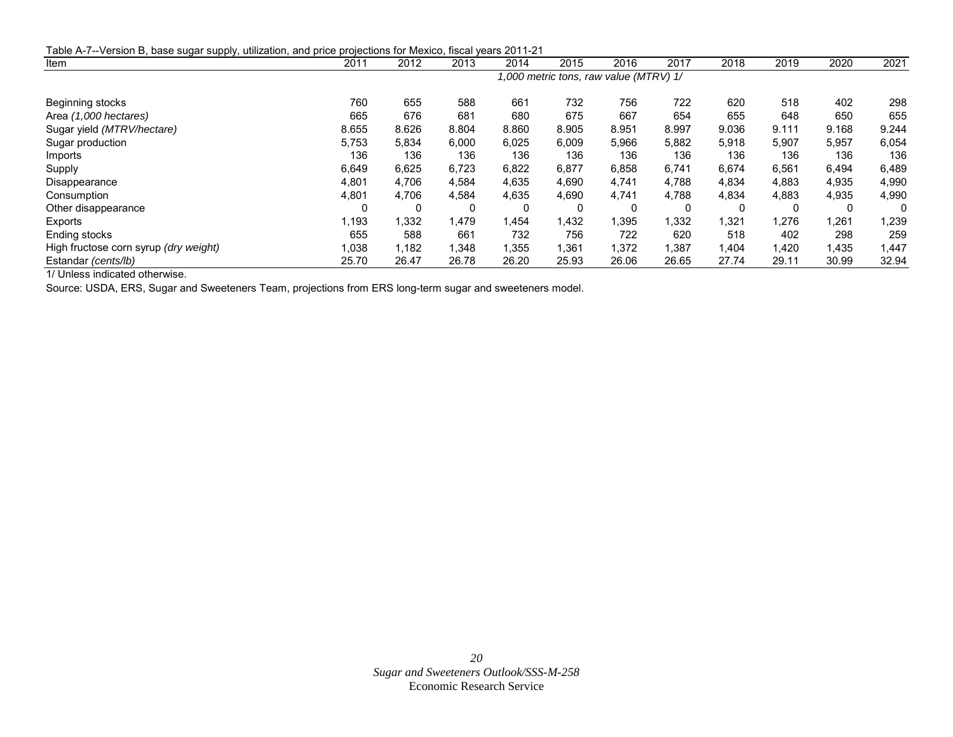| Table A-7--Version B, base sugar supply, utilization, and price projections for Mexico, fiscal years 2011-21 |                                        |       |       |       |             |       |       |       |       |       |       |
|--------------------------------------------------------------------------------------------------------------|----------------------------------------|-------|-------|-------|-------------|-------|-------|-------|-------|-------|-------|
| Item                                                                                                         | 2011                                   | 2012  | 2013  | 2014  | 2015        | 2016  | 2017  | 2018  | 2019  | 2020  | 2021  |
|                                                                                                              | 1,000 metric tons, raw value (MTRV) 1/ |       |       |       |             |       |       |       |       |       |       |
| Beginning stocks                                                                                             | 760                                    | 655   | 588   | 661   | 732         | 756   | 722   | 620   | 518   | 402   | 298   |
| Area (1,000 hectares)                                                                                        | 665                                    | 676   | 681   | 680   | 675         | 667   | 654   | 655   | 648   | 650   | 655   |
| Sugar yield (MTRV/hectare)                                                                                   | 8.655                                  | 8.626 | 8.804 | 8.860 | 8.905       | 8.951 | 8.997 | 9.036 | 9.111 | 9.168 | 9.244 |
| Sugar production                                                                                             | 5,753                                  | 5,834 | 6,000 | 6,025 | 6,009       | 5,966 | 5,882 | 5,918 | 5,907 | 5,957 | 6,054 |
| Imports                                                                                                      | 136                                    | 136   | 136   | 136   | 136         | 136   | 136   | 136   | 136   | 136   | 136   |
| Supply                                                                                                       | 6,649                                  | 6,625 | 6,723 | 6,822 | 6,877       | 6,858 | 6,741 | 6,674 | 6,561 | 6,494 | 6,489 |
| Disappearance                                                                                                | 4,801                                  | 4,706 | 4,584 | 4,635 | 4,690       | 4,741 | 4,788 | 4,834 | 4,883 | 4,935 | 4,990 |
| Consumption                                                                                                  | 4,801                                  | 4,706 | 4,584 | 4,635 | 4.690       | 4,741 | 4,788 | 4,834 | 4,883 | 4,935 | 4,990 |
| Other disappearance                                                                                          | 0                                      | 0     | 0     | 0     | $\mathbf C$ | 0     | 0     | 0     | 0     |       | 0     |
| Exports                                                                                                      | 1,193                                  | 1,332 | 1,479 | 1,454 | 1,432       | .395  | 1,332 | .321  | 1,276 | 1,261 | ,239  |
| Ending stocks                                                                                                | 655                                    | 588   | 661   | 732   | 756         | 722   | 620   | 518   | 402   | 298   | 259   |
| High fructose corn syrup (dry weight)                                                                        | 1,038                                  | l.182 | 1,348 | .355  | 1.361       | 1,372 | 1,387 | 1.404 | 1,420 | 1,435 | .447  |
| Estandar (cents/lb)                                                                                          | 25.70                                  | 26.47 | 26.78 | 26.20 | 25.93       | 26.06 | 26.65 | 27.74 | 29.11 | 30.99 | 32.94 |

1/ Unless indicated otherwise.

Source: USDA, ERS, Sugar and Sweeteners Team, projections from ERS long-term sugar and sweeteners model.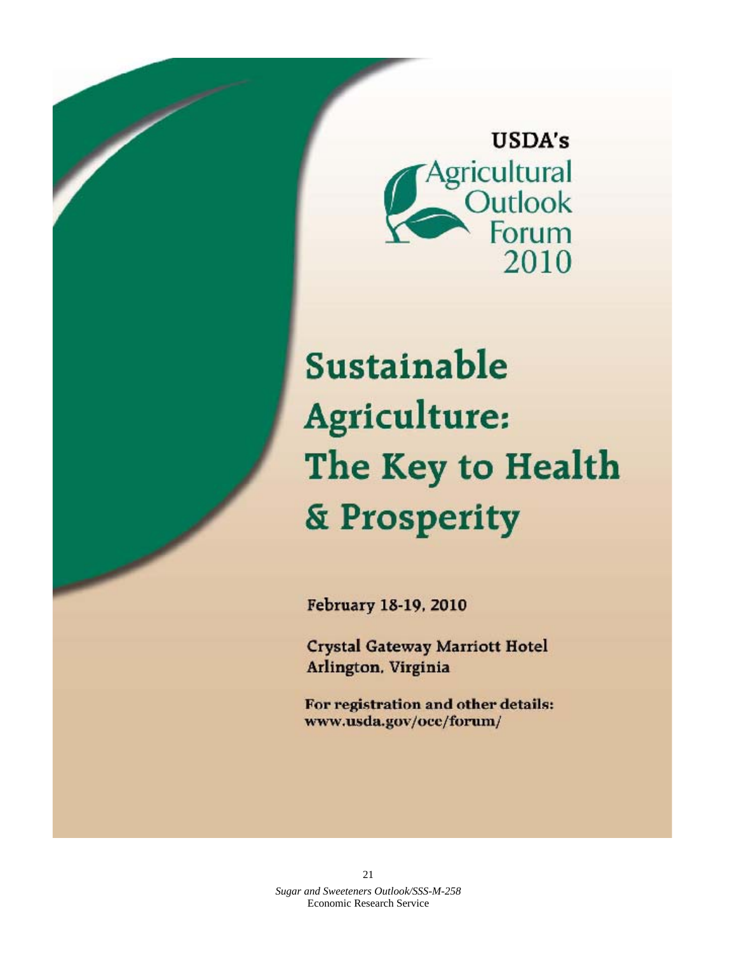

Sustainable Agriculture: The Key to Health & Prosperity

February 18-19, 2010

**Crystal Gateway Marriott Hotel** Arlington, Virginia

For registration and other details: www.usda.gov/oce/forum/